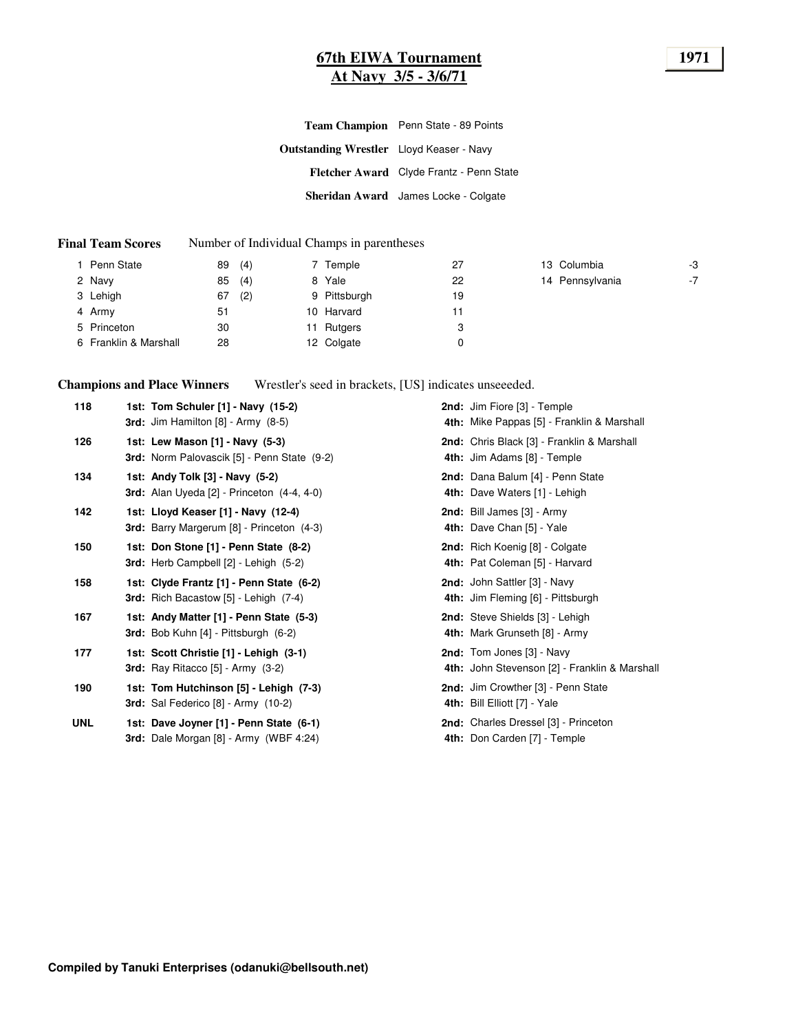### **67th EIWA Tournament 1971 At Navy 3/5 - 3/6/71**

|                                                 | Team Champion Penn State - 89 Points     |
|-------------------------------------------------|------------------------------------------|
| <b>Outstanding Wrestler</b> Lloyd Keaser - Navy |                                          |
|                                                 | Fletcher Award Clyde Frantz - Penn State |
|                                                 | Sheridan Award James Locke - Colgate     |

#### **Final Team Scores** Number of Individual Champs in parentheses

| Penn State            | (4)<br>89 | 7 Temple     | 27 | 13 Columbia     | -3   |
|-----------------------|-----------|--------------|----|-----------------|------|
| 2 Navy                | (4)<br>85 | 8 Yale       | 22 | 14 Pennsylvania | $-7$ |
| 3 Lehigh              | (2)<br>67 | 9 Pittsburgh | 19 |                 |      |
| 4 Army                | 51        | 10 Harvard   |    |                 |      |
| 5 Princeton           | 30        | 11 Rutgers   | 3  |                 |      |
| 6 Franklin & Marshall | 28        | 12 Colgate   | 0  |                 |      |

**Champions and Place Winners** Wrestler's seed in brackets, [US] indicates unseeeded.

| 118        | 1st: Tom Schuler [1] - Navy (15-2)<br><b>3rd:</b> Jim Hamilton $[8]$ - Army $(8-5)$        | 2nd: Jim Fiore [3] - Temple<br>4th: Mike Pappas [5] - Franklin & Marshall  |
|------------|--------------------------------------------------------------------------------------------|----------------------------------------------------------------------------|
| 126        | 1st: Lew Mason [1] - Navy (5-3)<br>3rd: Norm Palovascik [5] - Penn State (9-2)             | 2nd: Chris Black [3] - Franklin & Marshall<br>4th: Jim Adams [8] - Temple  |
| 134        | 1st: Andy Tolk [3] - Navy (5-2)<br>3rd: Alan Uyeda $[2]$ - Princeton $(4-4, 4-0)$          | 2nd: Dana Balum [4] - Penn State<br>4th: Dave Waters [1] - Lehigh          |
| 142        | 1st: Lloyd Keaser [1] - Navy (12-4)<br>3rd: Barry Margerum [8] - Princeton (4-3)           | 2nd: Bill James [3] - Army<br>4th: Dave Chan [5] - Yale                    |
| 150        | 1st: Don Stone [1] - Penn State (8-2)<br>3rd: Herb Campbell [2] - Lehigh (5-2)             | 2nd: Rich Koenig [8] - Colgate<br>4th: Pat Coleman [5] - Harvard           |
| 158        | 1st: Clyde Frantz [1] - Penn State (6-2)<br>3rd: Rich Bacastow [5] - Lehigh (7-4)          | 2nd: John Sattler [3] - Navy<br>4th: Jim Fleming [6] - Pittsburgh          |
| 167        | 1st: Andy Matter [1] - Penn State (5-3)<br><b>3rd:</b> Bob Kuhn $[4]$ - Pittsburgh $(6-2)$ | 2nd: Steve Shields [3] - Lehigh<br>4th: Mark Grunseth [8] - Army           |
| 177        | 1st: Scott Christie [1] - Lehigh (3-1)<br><b>3rd:</b> Ray Ritacco $[5]$ - Army $(3-2)$     | 2nd: Tom Jones [3] - Navy<br>4th: John Stevenson [2] - Franklin & Marshall |
| 190        | 1st: Tom Hutchinson [5] - Lehigh (7-3)<br><b>3rd:</b> Sal Federico [8] - Army (10-2)       | 2nd: Jim Crowther [3] - Penn State<br>4th: Bill Elliott [7] - Yale         |
| <b>UNL</b> | 1st: Dave Joyner [1] - Penn State (6-1)<br>3rd: Dale Morgan [8] - Army (WBF 4:24)          | 2nd: Charles Dressel [3] - Princeton<br>4th: Don Carden [7] - Temple       |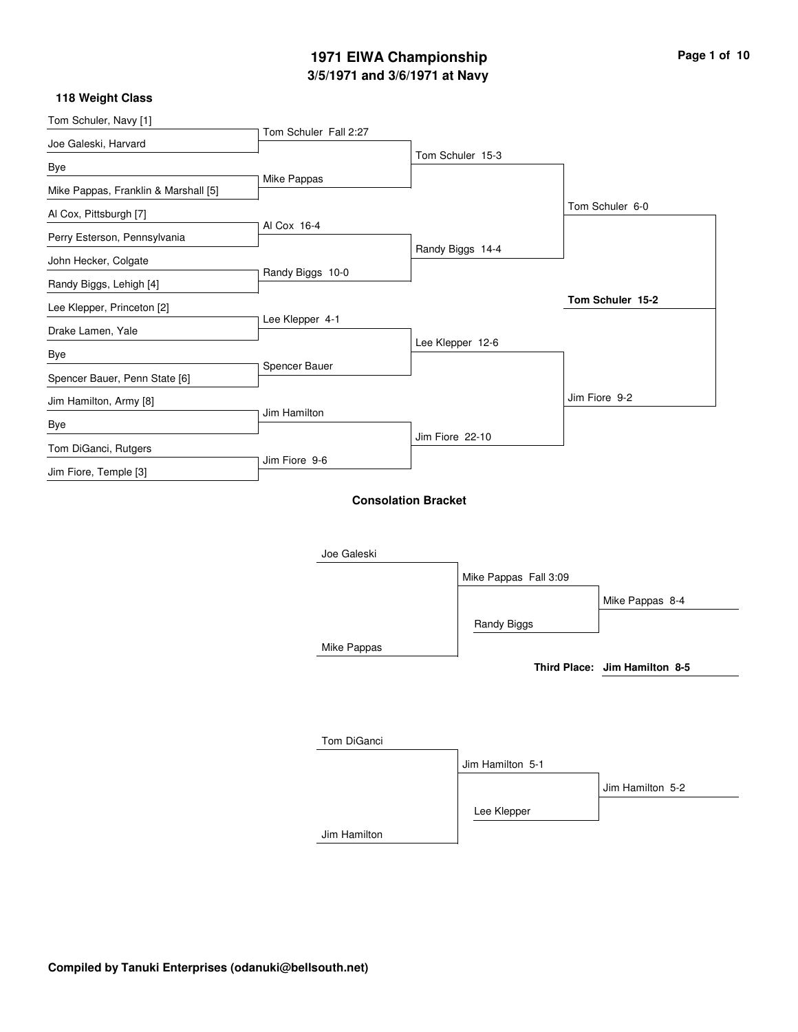### **3/5/1971 and 3/6/1971 at Navy 1971 EIWA Championship Page 1 of 10**

| Tom Schuler, Navy [1]                |                       |                            |                               |
|--------------------------------------|-----------------------|----------------------------|-------------------------------|
| Joe Galeski, Harvard                 | Tom Schuler Fall 2:27 |                            |                               |
| Bye                                  |                       | Tom Schuler 15-3           |                               |
| Mike Pappas, Franklin & Marshall [5] | Mike Pappas           |                            |                               |
| Al Cox, Pittsburgh [7]               |                       |                            | Tom Schuler 6-0               |
| Perry Esterson, Pennsylvania         | Al Cox 16-4           |                            |                               |
| John Hecker, Colgate                 |                       | Randy Biggs 14-4           |                               |
| Randy Biggs, Lehigh [4]              | Randy Biggs 10-0      |                            |                               |
| Lee Klepper, Princeton [2]           |                       |                            | Tom Schuler 15-2              |
| Drake Lamen, Yale                    | Lee Klepper 4-1       |                            |                               |
| Bye                                  |                       | Lee Klepper 12-6           |                               |
| Spencer Bauer, Penn State [6]        | Spencer Bauer         |                            |                               |
| Jim Hamilton, Army [8]               |                       |                            | Jim Fiore 9-2                 |
| Bye                                  | Jim Hamilton          |                            |                               |
| Tom DiGanci, Rutgers                 |                       | Jim Fiore 22-10            |                               |
| Jim Fiore, Temple [3]                | Jim Fiore 9-6         |                            |                               |
|                                      |                       | <b>Consolation Bracket</b> |                               |
|                                      |                       |                            |                               |
|                                      |                       |                            |                               |
|                                      | Joe Galeski           |                            |                               |
|                                      |                       | Mike Pappas Fall 3:09      |                               |
|                                      |                       |                            | Mike Pappas 8-4               |
|                                      |                       | Randy Biggs                |                               |
|                                      | Mike Pappas           |                            |                               |
|                                      |                       |                            | Third Place: Jim Hamilton 8-5 |
|                                      |                       |                            |                               |
|                                      |                       |                            |                               |
|                                      | Tom DiGanci           |                            |                               |
|                                      |                       | Jim Hamilton 5-1           |                               |
|                                      |                       |                            | Jim Hamilton 5-2              |
|                                      |                       | Lee Klepper                |                               |
|                                      | Jim Hamilton          |                            |                               |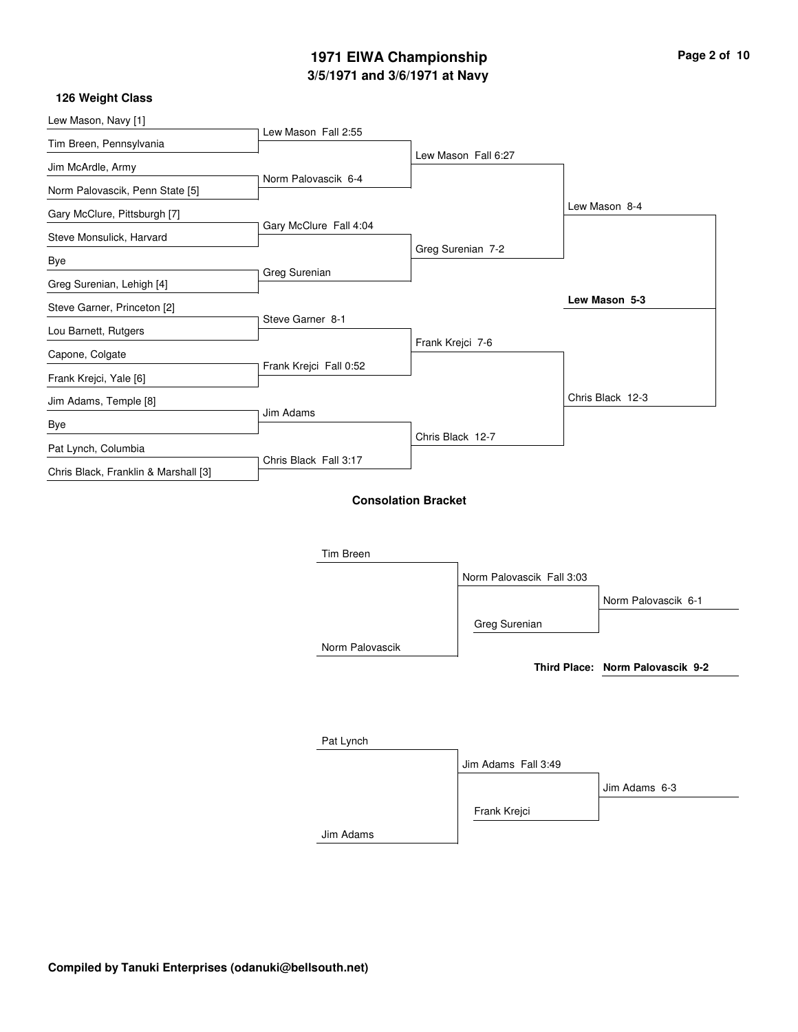### **3/5/1971 and 3/6/1971 at Navy 1971 EIWA Championship Page 2 of 10**

| Lew Mason, Navy [1]                  |                        |                            |                           |                                  |
|--------------------------------------|------------------------|----------------------------|---------------------------|----------------------------------|
| Tim Breen, Pennsylvania              | Lew Mason Fall 2:55    |                            |                           |                                  |
| Jim McArdle, Army                    |                        |                            | Lew Mason Fall 6:27       |                                  |
| Norm Palovascik, Penn State [5]      | Norm Palovascik 6-4    |                            |                           |                                  |
|                                      |                        |                            |                           | Lew Mason 8-4                    |
| Gary McClure, Pittsburgh [7]         | Gary McClure Fall 4:04 |                            |                           |                                  |
| Steve Monsulick, Harvard             |                        |                            | Greg Surenian 7-2         |                                  |
| Bye                                  |                        |                            |                           |                                  |
| Greg Surenian, Lehigh [4]            | Greg Surenian          |                            |                           |                                  |
| Steve Garner, Princeton [2]          |                        |                            |                           | Lew Mason 5-3                    |
|                                      | Steve Garner 8-1       |                            |                           |                                  |
| Lou Barnett, Rutgers                 |                        |                            | Frank Krejci 7-6          |                                  |
| Capone, Colgate                      | Frank Krejci Fall 0:52 |                            |                           |                                  |
| Frank Krejci, Yale [6]               |                        |                            |                           |                                  |
| Jim Adams, Temple [8]                |                        |                            |                           | Chris Black 12-3                 |
| Bye                                  | Jim Adams              |                            |                           |                                  |
| Pat Lynch, Columbia                  |                        |                            | Chris Black 12-7          |                                  |
|                                      | Chris Black Fall 3:17  |                            |                           |                                  |
| Chris Black, Franklin & Marshall [3] |                        |                            |                           |                                  |
|                                      |                        | <b>Consolation Bracket</b> |                           |                                  |
|                                      |                        |                            |                           |                                  |
|                                      |                        |                            |                           |                                  |
|                                      | Tim Breen              |                            |                           |                                  |
|                                      |                        |                            | Norm Palovascik Fall 3:03 |                                  |
|                                      |                        |                            |                           | Norm Palovascik 6-1              |
|                                      |                        |                            |                           |                                  |
|                                      |                        |                            | Greg Surenian             |                                  |
|                                      | Norm Palovascik        |                            |                           |                                  |
|                                      |                        |                            |                           | Third Place: Norm Palovascik 9-2 |

| Pat Lynch |                     |               |
|-----------|---------------------|---------------|
|           | Jim Adams Fall 3:49 |               |
|           |                     | Jim Adams 6-3 |
|           | Frank Krejci        |               |
| Jim Adams |                     |               |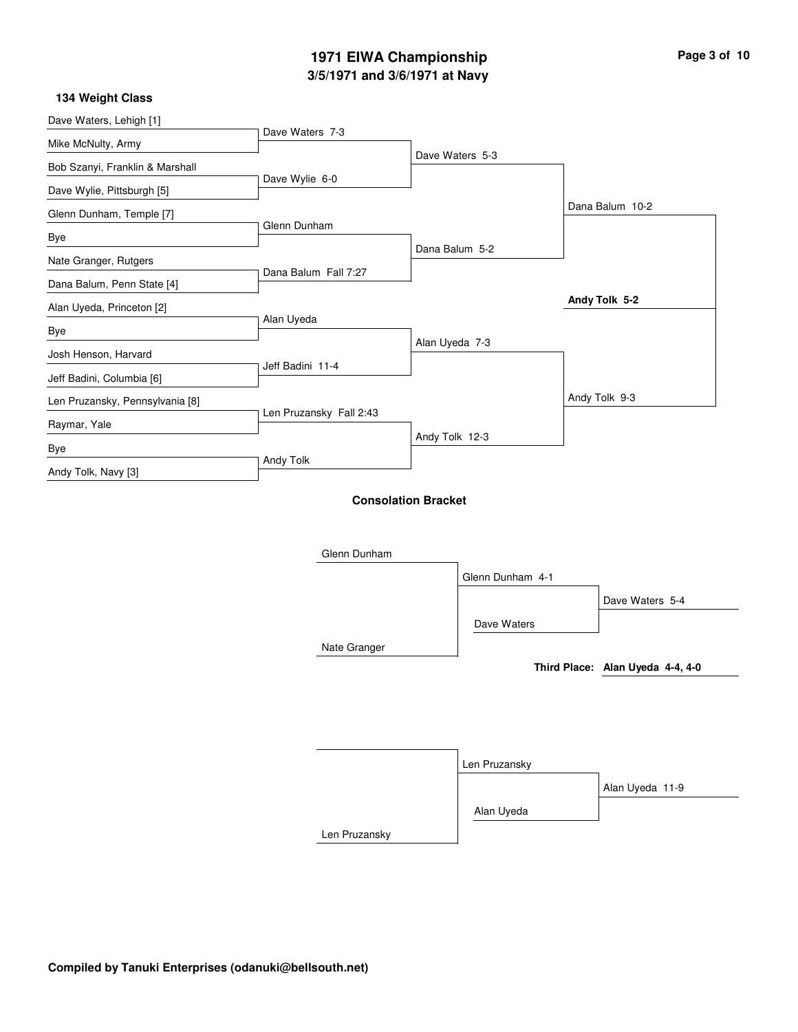### **3/5/1971 and 3/6/1971 at Navy 1971 EIWA Championship Page 3 of 10**

 $\overline{\phantom{0}}$ 

| Dave Waters, Lehigh [1]         | Dave Waters 7-3         |                            |                  |                                  |
|---------------------------------|-------------------------|----------------------------|------------------|----------------------------------|
| Mike McNulty, Army              |                         |                            |                  |                                  |
| Bob Szanyi, Franklin & Marshall |                         | Dave Waters 5-3            |                  |                                  |
| Dave Wylie, Pittsburgh [5]      | Dave Wylie 6-0          |                            |                  |                                  |
| Glenn Dunham, Temple [7]        |                         |                            |                  | Dana Balum 10-2                  |
| Bye                             | Glenn Dunham            |                            |                  |                                  |
| Nate Granger, Rutgers           |                         | Dana Balum 5-2             |                  |                                  |
| Dana Balum, Penn State [4]      | Dana Balum Fall 7:27    |                            |                  |                                  |
| Alan Uyeda, Princeton [2]       |                         |                            |                  | Andy Tolk 5-2                    |
| Bye                             | Alan Uyeda              |                            |                  |                                  |
| Josh Henson, Harvard            |                         | Alan Uyeda 7-3             |                  |                                  |
| Jeff Badini, Columbia [6]       | Jeff Badini 11-4        |                            |                  |                                  |
| Len Pruzansky, Pennsylvania [8] |                         |                            |                  | Andy Tolk 9-3                    |
| Raymar, Yale                    | Len Pruzansky Fall 2:43 |                            |                  |                                  |
| Bye                             |                         | Andy Tolk 12-3             |                  |                                  |
| Andy Tolk, Navy [3]             | Andy Tolk               |                            |                  |                                  |
|                                 | Glenn Dunham            | <b>Consolation Bracket</b> |                  |                                  |
|                                 |                         |                            | Glenn Dunham 4-1 | Dave Waters 5-4                  |
|                                 |                         |                            | Dave Waters      |                                  |
|                                 | Nate Granger            |                            |                  |                                  |
|                                 |                         |                            |                  | Third Place: Alan Uyeda 4-4, 4-0 |
|                                 |                         |                            | Len Pruzansky    | Alan Uyeda 11-9                  |
|                                 |                         |                            | Alan Uyeda       |                                  |
|                                 | Len Pruzansky           |                            |                  |                                  |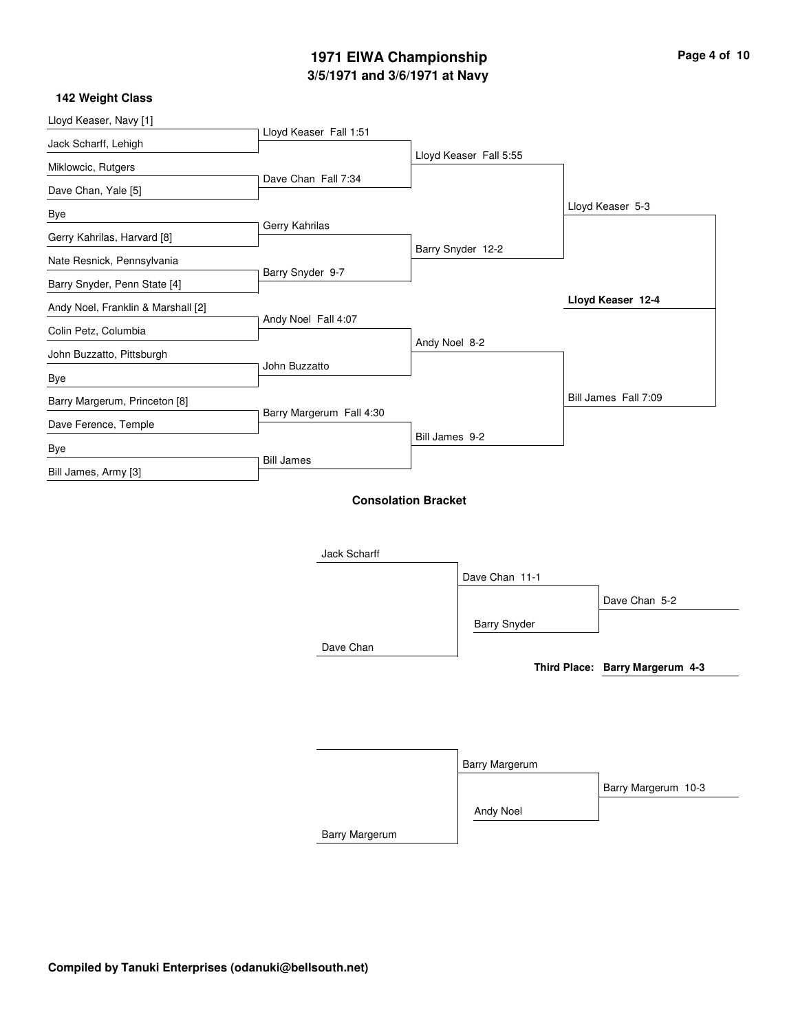### **3/5/1971 and 3/6/1971 at Navy 1971 EIWA Championship Page 4 of 10**

i.

| Lloyd Keaser, Navy [1]             | Lloyd Keaser Fall 1:51   |                            |                        |                                 |
|------------------------------------|--------------------------|----------------------------|------------------------|---------------------------------|
| Jack Scharff, Lehigh               |                          |                            |                        |                                 |
| Miklowcic, Rutgers                 |                          |                            | Lloyd Keaser Fall 5:55 |                                 |
| Dave Chan, Yale [5]                | Dave Chan Fall 7:34      |                            |                        |                                 |
| Bye                                |                          |                            |                        | Lloyd Keaser 5-3                |
| Gerry Kahrilas, Harvard [8]        | Gerry Kahrilas           |                            |                        |                                 |
| Nate Resnick, Pennsylvania         |                          |                            | Barry Snyder 12-2      |                                 |
| Barry Snyder, Penn State [4]       | Barry Snyder 9-7         |                            |                        |                                 |
| Andy Noel, Franklin & Marshall [2] |                          |                            |                        | Lloyd Keaser 12-4               |
| Colin Petz, Columbia               | Andy Noel Fall 4:07      |                            |                        |                                 |
| John Buzzatto, Pittsburgh          |                          | Andy Noel 8-2              |                        |                                 |
| Bye                                | John Buzzatto            |                            |                        |                                 |
| Barry Margerum, Princeton [8]      |                          |                            |                        | Bill James Fall 7:09            |
| Dave Ference, Temple               | Barry Margerum Fall 4:30 |                            |                        |                                 |
| Bye                                |                          | Bill James 9-2             |                        |                                 |
| Bill James, Army [3]               | <b>Bill James</b>        |                            |                        |                                 |
|                                    | Jack Scharff             | <b>Consolation Bracket</b> | Dave Chan 11-1         |                                 |
|                                    |                          |                            |                        | Dave Chan 5-2                   |
|                                    |                          |                            | <b>Barry Snyder</b>    |                                 |
|                                    | Dave Chan                |                            |                        |                                 |
|                                    |                          |                            |                        | Third Place: Barry Margerum 4-3 |
|                                    |                          |                            |                        |                                 |
|                                    |                          |                            |                        |                                 |
|                                    |                          |                            |                        |                                 |
|                                    |                          |                            | Barry Margerum         |                                 |
|                                    |                          |                            |                        |                                 |
|                                    |                          |                            |                        | Barry Margerum 10-3             |
|                                    |                          |                            | Andy Noel              |                                 |
|                                    | Barry Margerum           |                            |                        |                                 |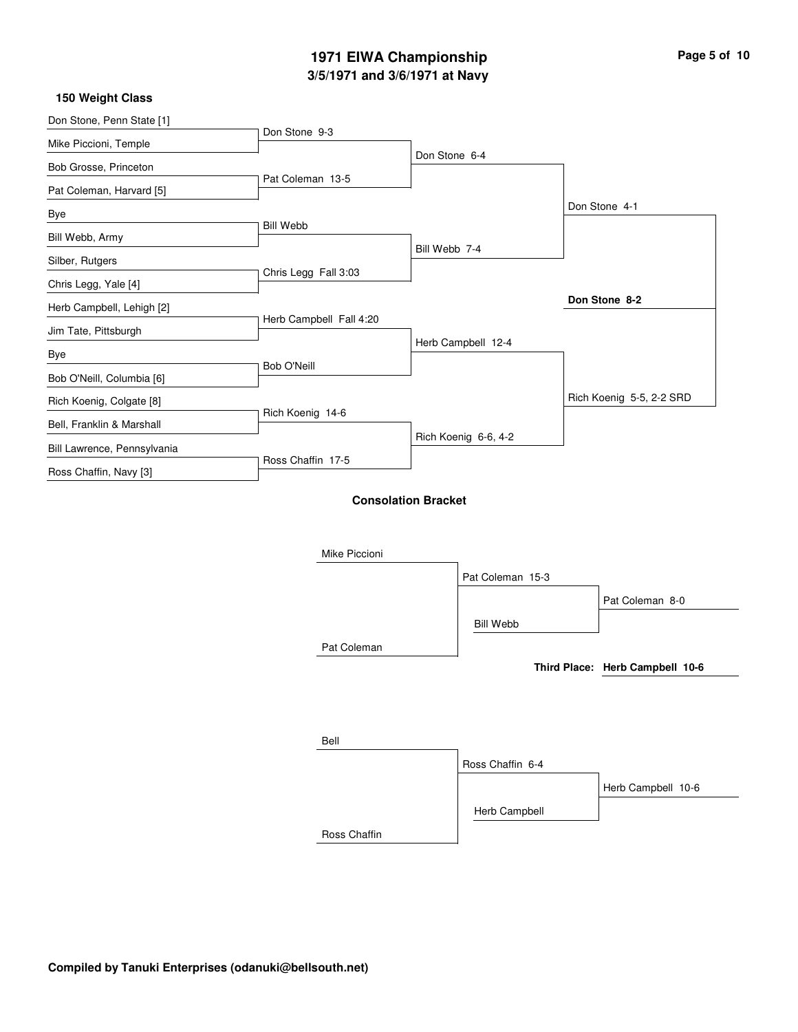### **3/5/1971 and 3/6/1971 at Navy 1971 EIWA Championship Page 5 of 10**

| Don Stone, Penn State [1]   |                            |               |                      |                                 |
|-----------------------------|----------------------------|---------------|----------------------|---------------------------------|
| Mike Piccioni, Temple       | Don Stone 9-3              |               |                      |                                 |
| Bob Grosse, Princeton       |                            | Don Stone 6-4 |                      |                                 |
| Pat Coleman, Harvard [5]    | Pat Coleman 13-5           |               |                      |                                 |
| Bye                         |                            |               |                      | Don Stone 4-1                   |
| Bill Webb, Army             | <b>Bill Webb</b>           |               |                      |                                 |
| Silber, Rutgers             |                            | Bill Webb 7-4 |                      |                                 |
| Chris Legg, Yale [4]        | Chris Legg Fall 3:03       |               |                      |                                 |
| Herb Campbell, Lehigh [2]   |                            |               |                      | Don Stone 8-2                   |
| Jim Tate, Pittsburgh        | Herb Campbell Fall 4:20    |               |                      |                                 |
| Bye                         |                            |               | Herb Campbell 12-4   |                                 |
| Bob O'Neill, Columbia [6]   | Bob O'Neill                |               |                      |                                 |
|                             |                            |               |                      | Rich Koenig 5-5, 2-2 SRD        |
| Rich Koenig, Colgate [8]    | Rich Koenig 14-6           |               |                      |                                 |
| Bell, Franklin & Marshall   |                            |               | Rich Koenig 6-6, 4-2 |                                 |
| Bill Lawrence, Pennsylvania | Ross Chaffin 17-5          |               |                      |                                 |
| Ross Chaffin, Navy [3]      |                            |               |                      |                                 |
|                             | <b>Consolation Bracket</b> |               |                      |                                 |
|                             |                            |               |                      |                                 |
|                             | Mike Piccioni              |               |                      |                                 |
|                             |                            |               | Pat Coleman 15-3     |                                 |
|                             |                            |               |                      | Pat Coleman 8-0                 |
|                             |                            |               |                      |                                 |
|                             |                            |               | <b>Bill Webb</b>     |                                 |
|                             | Pat Coleman                |               |                      |                                 |
|                             |                            |               |                      | Third Place: Herb Campbell 10-6 |

| Bell         |                  |                    |
|--------------|------------------|--------------------|
|              | Ross Chaffin 6-4 |                    |
|              |                  | Herb Campbell 10-6 |
|              | Herb Campbell    |                    |
| Ross Chaffin |                  |                    |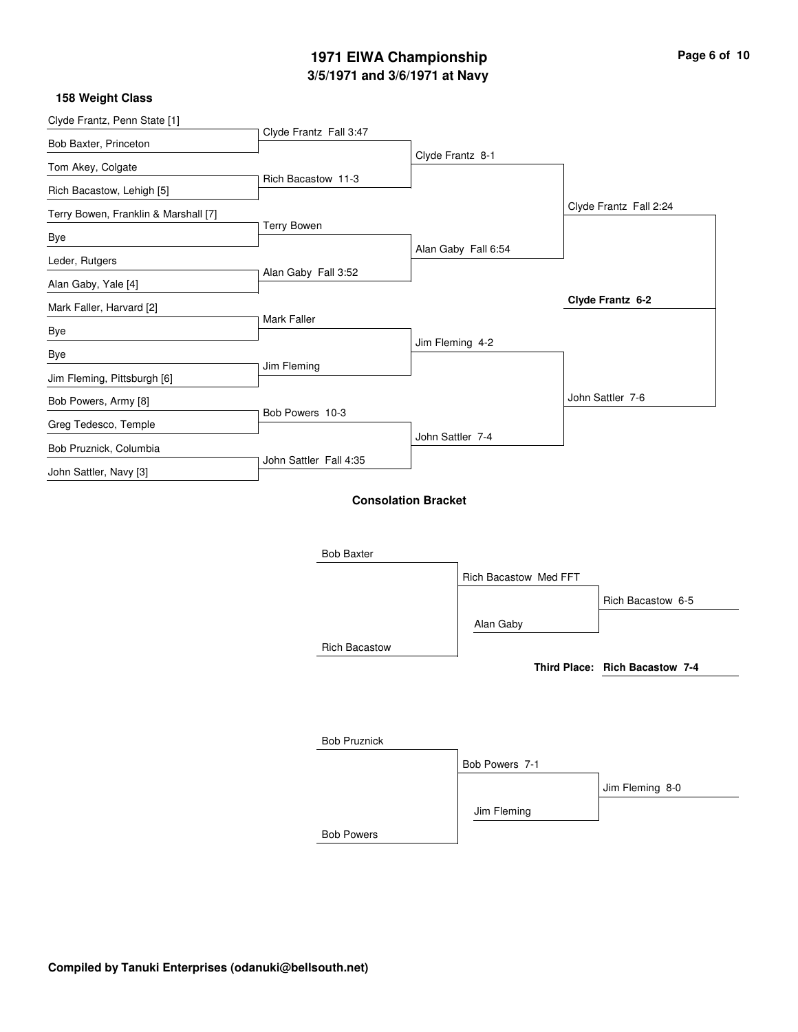### **3/5/1971 and 3/6/1971 at Navy 1971 EIWA Championship Page 6 of 10**

#### **158 Weight Class**

| Clyde Frantz, Penn State [1]         |                        |                            |                       |                                |
|--------------------------------------|------------------------|----------------------------|-----------------------|--------------------------------|
| Bob Baxter, Princeton                | Clyde Frantz Fall 3:47 |                            |                       |                                |
| Tom Akey, Colgate                    |                        | Clyde Frantz 8-1           |                       |                                |
| Rich Bacastow, Lehigh [5]            | Rich Bacastow 11-3     |                            |                       |                                |
| Terry Bowen, Franklin & Marshall [7] |                        |                            |                       | Clyde Frantz Fall 2:24         |
| Bye                                  | <b>Terry Bowen</b>     |                            |                       |                                |
| Leder, Rutgers                       |                        |                            | Alan Gaby Fall 6:54   |                                |
| Alan Gaby, Yale [4]                  | Alan Gaby Fall 3:52    |                            |                       |                                |
| Mark Faller, Harvard [2]             |                        |                            |                       | Clyde Frantz 6-2               |
| Bye                                  | Mark Faller            |                            |                       |                                |
| Bye                                  |                        | Jim Fleming 4-2            |                       |                                |
| Jim Fleming, Pittsburgh [6]          | Jim Fleming            |                            |                       |                                |
| Bob Powers, Army [8]                 |                        |                            |                       | John Sattler 7-6               |
| Greg Tedesco, Temple                 | Bob Powers 10-3        |                            |                       |                                |
| Bob Pruznick, Columbia               |                        | John Sattler 7-4           |                       |                                |
| John Sattler, Navy [3]               | John Sattler Fall 4:35 |                            |                       |                                |
|                                      |                        | <b>Consolation Bracket</b> |                       |                                |
|                                      |                        |                            |                       |                                |
|                                      |                        |                            |                       |                                |
|                                      | <b>Bob Baxter</b>      |                            |                       |                                |
|                                      |                        |                            | Rich Bacastow Med FFT |                                |
|                                      |                        |                            |                       | Rich Bacastow 6-5              |
|                                      |                        |                            | Alan Gaby             |                                |
|                                      | <b>Rich Bacastow</b>   |                            |                       |                                |
|                                      |                        |                            |                       | Third Place: Rich Bacastow 7-4 |
|                                      |                        |                            |                       |                                |
|                                      |                        |                            |                       |                                |
|                                      | <b>Bob Pruznick</b>    |                            |                       |                                |
|                                      |                        |                            | Bob Powers 7-1        |                                |

Bob Powers

Jim Fleming

Jim Fleming 8-0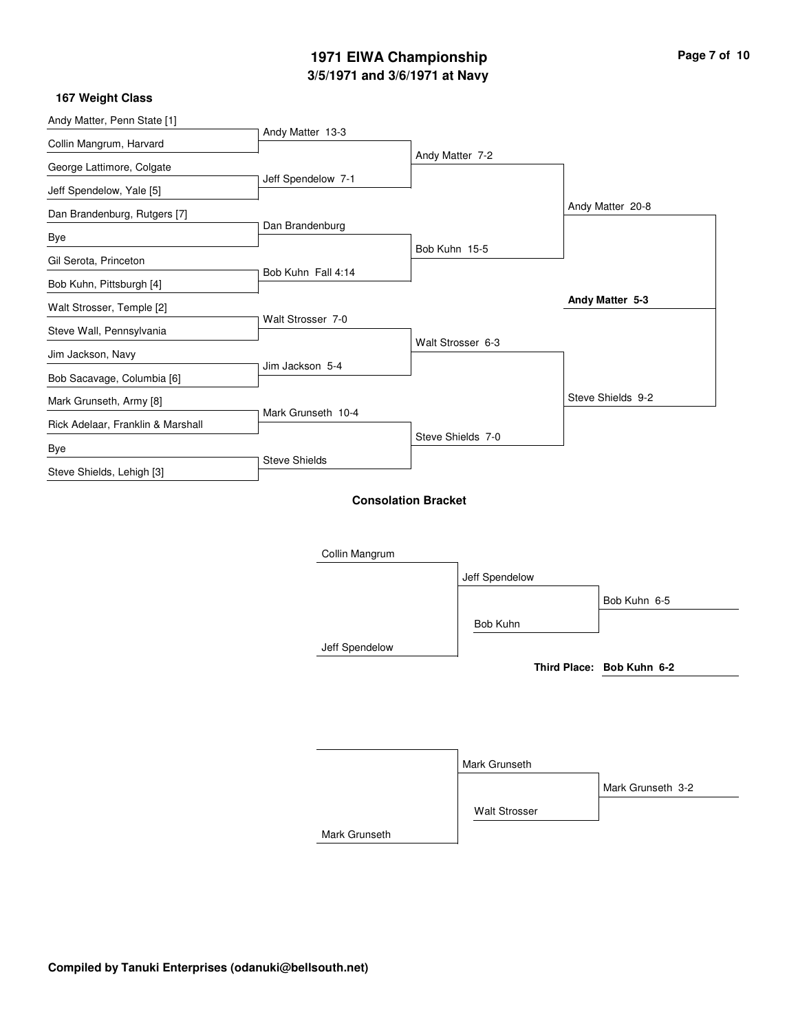# **3/5/1971 and 3/6/1971 at Navy 1971 EIWA Championship Page 7 of 10**

 $\overline{\phantom{0}}$ 

| Andy Matter, Penn State [1]       | Andy Matter 13-3     |                            |                           |
|-----------------------------------|----------------------|----------------------------|---------------------------|
| Collin Mangrum, Harvard           |                      | Andy Matter 7-2            |                           |
| George Lattimore, Colgate         |                      |                            |                           |
| Jeff Spendelow, Yale [5]          | Jeff Spendelow 7-1   |                            |                           |
| Dan Brandenburg, Rutgers [7]      |                      |                            | Andy Matter 20-8          |
| Bye                               | Dan Brandenburg      |                            |                           |
| Gil Serota, Princeton             |                      | Bob Kuhn 15-5              |                           |
| Bob Kuhn, Pittsburgh [4]          | Bob Kuhn Fall 4:14   |                            |                           |
| Walt Strosser, Temple [2]         |                      |                            | Andy Matter 5-3           |
| Steve Wall, Pennsylvania          | Walt Strosser 7-0    |                            |                           |
| Jim Jackson, Navy                 |                      | Walt Strosser 6-3          |                           |
| Bob Sacavage, Columbia [6]        | Jim Jackson 5-4      |                            |                           |
| Mark Grunseth, Army [8]           |                      |                            | Steve Shields 9-2         |
| Rick Adelaar, Franklin & Marshall | Mark Grunseth 10-4   |                            |                           |
| Bye                               |                      | Steve Shields 7-0          |                           |
| Steve Shields, Lehigh [3]         | <b>Steve Shields</b> |                            |                           |
|                                   | Collin Mangrum       | <b>Consolation Bracket</b> |                           |
|                                   |                      | Jeff Spendelow             |                           |
|                                   |                      |                            | Bob Kuhn 6-5              |
|                                   |                      | Bob Kuhn                   |                           |
|                                   | Jeff Spendelow       |                            |                           |
|                                   |                      |                            | Third Place: Bob Kuhn 6-2 |
|                                   |                      |                            |                           |
|                                   |                      |                            |                           |
|                                   |                      |                            |                           |
|                                   |                      | Mark Grunseth              |                           |
|                                   |                      |                            | Mark Grunseth 3-2         |
|                                   |                      | <b>Walt Strosser</b>       |                           |
|                                   | Mark Grunseth        |                            |                           |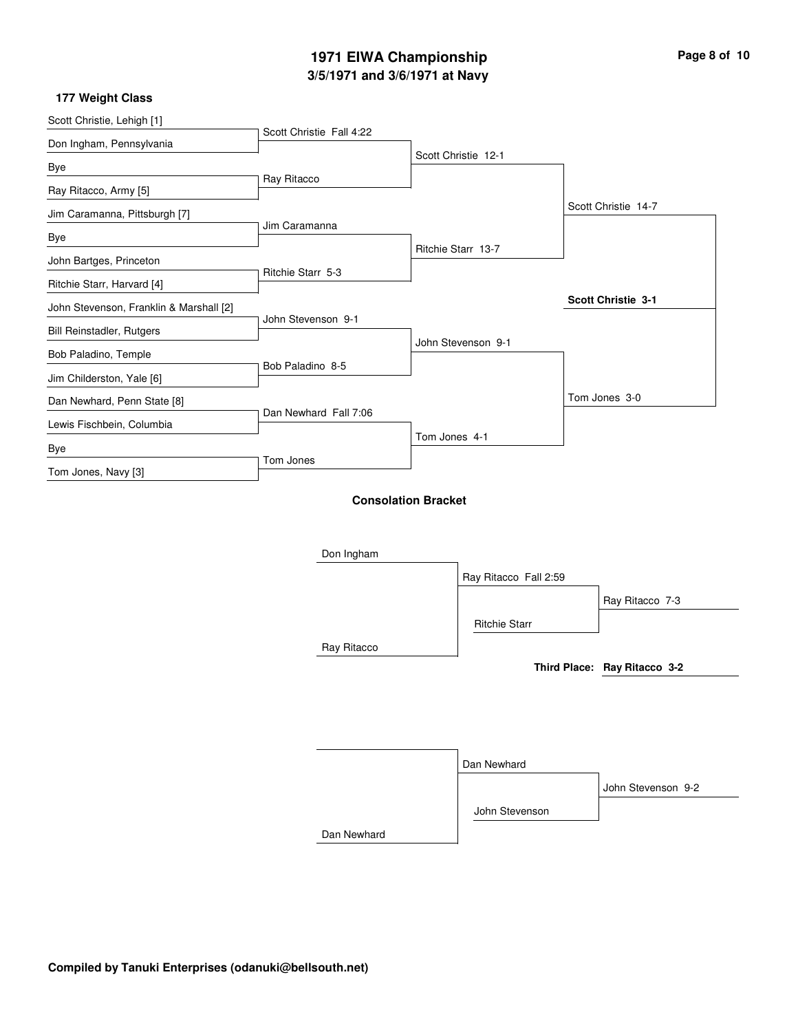# **3/5/1971 and 3/6/1971 at Navy 1971 EIWA Championship Page 8 of 10**

| Scott Christie, Lehigh [1]              | Scott Christie Fall 4:22                 |               |                       |  |                              |
|-----------------------------------------|------------------------------------------|---------------|-----------------------|--|------------------------------|
| Don Ingham, Pennsylvania                |                                          |               | Scott Christie 12-1   |  |                              |
| Bye                                     |                                          |               |                       |  |                              |
| Ray Ritacco, Army [5]                   | Ray Ritacco                              |               |                       |  |                              |
| Jim Caramanna, Pittsburgh [7]           |                                          |               |                       |  | Scott Christie 14-7          |
| Bye                                     | Jim Caramanna                            |               |                       |  |                              |
| John Bartges, Princeton                 |                                          |               | Ritchie Starr 13-7    |  |                              |
| Ritchie Starr, Harvard [4]              | Ritchie Starr 5-3                        |               |                       |  |                              |
| John Stevenson, Franklin & Marshall [2] |                                          |               |                       |  | Scott Christie 3-1           |
| Bill Reinstadler, Rutgers               | John Stevenson 9-1                       |               |                       |  |                              |
| Bob Paladino, Temple                    |                                          |               | John Stevenson 9-1    |  |                              |
| Jim Childerston, Yale [6]               | Bob Paladino 8-5                         |               |                       |  |                              |
| Dan Newhard, Penn State [8]             |                                          |               |                       |  | Tom Jones 3-0                |
| Lewis Fischbein, Columbia               | Dan Newhard Fall 7:06                    |               |                       |  |                              |
| Bye                                     |                                          | Tom Jones 4-1 |                       |  |                              |
| Tom Jones, Navy [3]                     | Tom Jones                                |               |                       |  |                              |
|                                         | <b>Consolation Bracket</b><br>Don Ingham |               |                       |  |                              |
|                                         |                                          |               | Ray Ritacco Fall 2:59 |  |                              |
|                                         |                                          |               |                       |  | Ray Ritacco 7-3              |
|                                         |                                          |               | <b>Ritchie Starr</b>  |  |                              |
|                                         | Ray Ritacco                              |               |                       |  |                              |
|                                         |                                          |               |                       |  | Third Place: Ray Ritacco 3-2 |
|                                         |                                          |               |                       |  |                              |
|                                         |                                          |               |                       |  |                              |
|                                         |                                          |               |                       |  |                              |
|                                         |                                          |               | Dan Newhard           |  |                              |
|                                         |                                          |               |                       |  | John Stevenson 9-2           |
|                                         |                                          |               | John Stevenson        |  |                              |
|                                         | Dan Newhard                              |               |                       |  |                              |
|                                         |                                          |               |                       |  |                              |
|                                         |                                          |               |                       |  |                              |

i.

L,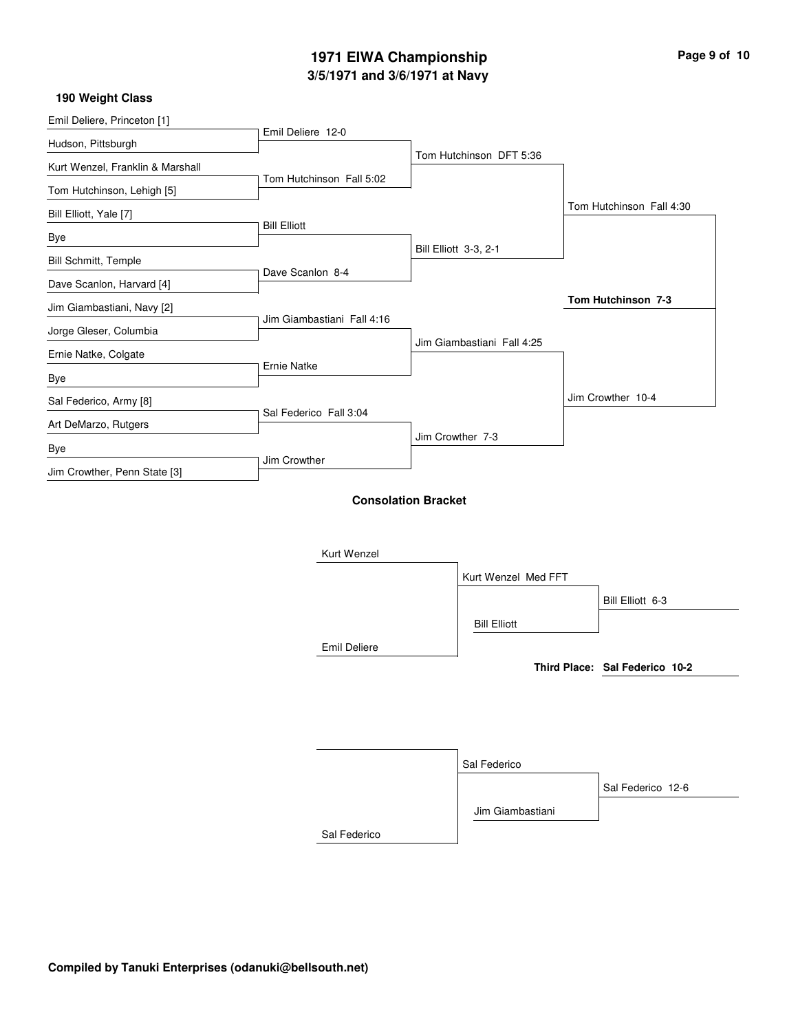### **3/5/1971 and 3/6/1971 at Navy 1971 EIWA Championship Page 9 of 10**

٠

#### **190 Weight Class**

| Emil Deliere, Princeton [1]      | Emil Deliere 12-0          |                            |                                |
|----------------------------------|----------------------------|----------------------------|--------------------------------|
| Hudson, Pittsburgh               |                            | Tom Hutchinson DFT 5:36    |                                |
| Kurt Wenzel, Franklin & Marshall | Tom Hutchinson Fall 5:02   |                            |                                |
| Tom Hutchinson, Lehigh [5]       |                            |                            |                                |
| Bill Elliott, Yale [7]           |                            |                            | Tom Hutchinson Fall 4:30       |
| Bye                              | <b>Bill Elliott</b>        |                            |                                |
| Bill Schmitt, Temple             |                            | Bill Elliott 3-3, 2-1      |                                |
| Dave Scanlon, Harvard [4]        | Dave Scanlon 8-4           |                            |                                |
| Jim Giambastiani, Navy [2]       |                            |                            | Tom Hutchinson 7-3             |
| Jorge Gleser, Columbia           | Jim Giambastiani Fall 4:16 |                            |                                |
| Ernie Natke, Colgate             |                            | Jim Giambastiani Fall 4:25 |                                |
| Bye                              | <b>Ernie Natke</b>         |                            |                                |
| Sal Federico, Army [8]           |                            |                            | Jim Crowther 10-4              |
| Art DeMarzo, Rutgers             | Sal Federico Fall 3:04     |                            |                                |
| Bye                              |                            | Jim Crowther 7-3           |                                |
| Jim Crowther, Penn State [3]     | Jim Crowther               |                            |                                |
|                                  | Kurt Wenzel                | <b>Consolation Bracket</b> |                                |
|                                  |                            | Kurt Wenzel Med FFT        |                                |
|                                  |                            |                            | Bill Elliott 6-3               |
|                                  |                            | <b>Bill Elliott</b>        |                                |
|                                  | <b>Emil Deliere</b>        |                            |                                |
|                                  |                            |                            | Third Place: Sal Federico 10-2 |
|                                  |                            |                            |                                |
|                                  |                            | Sal Federico               |                                |
|                                  |                            |                            | Sal Federico 12-6              |
|                                  |                            | Jim Giambastiani           |                                |

Sal Federico